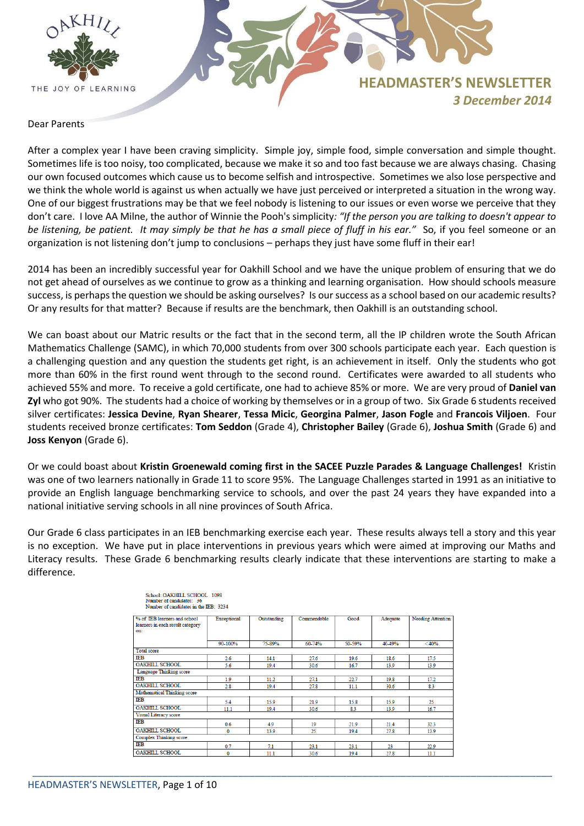

# **HEADMASTER'S NEWSLETTER** *3 December 2014*

## Dear Parents

After a complex year I have been craving simplicity. Simple joy, simple food, simple conversation and simple thought. Sometimes life is too noisy, too complicated, because we make it so and too fast because we are always chasing. Chasing our own focused outcomes which cause us to become selfish and introspective. Sometimes we also lose perspective and we think the whole world is against us when actually we have just perceived or interpreted a situation in the wrong way. One of our biggest frustrations may be that we feel nobody is listening to our issues or even worse we perceive that they don't care. I love AA Milne, the author of Winnie the Pooh's simplicity*: "If the person you are talking to doesn't appear to be listening, be patient. It may simply be that he has a small piece of fluff in his ear."* So, if you feel someone or an organization is not listening don't jump to conclusions – perhaps they just have some fluff in their ear!

2014 has been an incredibly successful year for Oakhill School and we have the unique problem of ensuring that we do not get ahead of ourselves as we continue to grow as a thinking and learning organisation. How should schools measure success, is perhaps the question we should be asking ourselves? Is our success as a school based on our academic results? Or any results for that matter? Because if results are the benchmark, then Oakhill is an outstanding school.

We can boast about our Matric results or the fact that in the second term, all the IP children wrote the South African Mathematics Challenge (SAMC), in which 70,000 students from over 300 schools participate each year. Each question is a challenging question and any question the students get right, is an achievement in itself. Only the students who got more than 60% in the first round went through to the second round. Certificates were awarded to all students who achieved 55% and more. To receive a gold certificate, one had to achieve 85% or more. We are very proud of **Daniel van Zyl** who got 90%. The students had a choice of working by themselves or in a group of two. Six Grade 6 students received silver certificates: **Jessica Devine**, **Ryan Shearer**, **Tessa Micic**, **Georgina Palmer**, **Jason Fogle** and **Francois Viljoen**. Four students received bronze certificates: **Tom Seddon** (Grade 4), **Christopher Bailey** (Grade 6), **Joshua Smith** (Grade 6) and **Joss Kenyon** (Grade 6).

Or we could boast about **Kristin Groenewald coming first in the SACEE Puzzle Parades & Language Challenges!** Kristin was one of two learners nationally in Grade 11 to score 95%. The Language Challenges started in 1991 as an initiative to provide an English language benchmarking service to schools, and over the past 24 years they have expanded into a national initiative serving schools in all nine provinces of South Africa.

Our Grade 6 class participates in an IEB benchmarking exercise each year. These results always tell a story and this year is no exception. We have put in place interventions in previous years which were aimed at improving our Maths and Literacy results. These Grade 6 benchmarking results clearly indicate that these interventions are starting to make a difference.

| Exceptional | Outstanding | Commendable | Good   | Adequate | <b>Needing Attention</b> |
|-------------|-------------|-------------|--------|----------|--------------------------|
| 90-100%     | 75-89%      | 60-74%      | 50-59% | 40-49%   | < 40%                    |
|             |             |             |        |          |                          |
| 2.6         | 14.1        | 27.6        | 19.6   | 18.6     | 17.5                     |
| 5.6         | 19.4        | 30.6        | 16.7   | 13.9     | 13.9                     |
|             |             |             |        |          |                          |
| 1.9         | 11.2        | 27.1        | 22.7   | 19.8     | 17.2                     |
| 2.8         | 19.4        | 27.8        | 11.1   | 30.6     | 83                       |
|             |             |             |        |          |                          |
| 5.4         | 15.9        | 21.9        | 15.8   | 15.9     | 25                       |
| 11.1        | 19.4        | 30.6        | 8.3    | 13.9     | 16.7                     |
|             |             |             |        |          |                          |
| 0.6         | 4.9         | 19          | 21.9   | 21.4     | 32.3                     |
| $\bf{0}$    | 13.9        | 25          | 19.4   | 27.8     | 13.9                     |
|             |             |             |        |          |                          |
| 0.7         | 71          | 23.1        | 23.1   | 23       | 22.9                     |
| 0           | 11.1        | 30.6        | 19.4   | 27.8     | 11.1                     |
|             |             |             |        |          |                          |

| School: OAKHILL SCHOOL 1098           |
|---------------------------------------|
| Number of candidates: 36              |
| Number of candidates in the IEB: 3234 |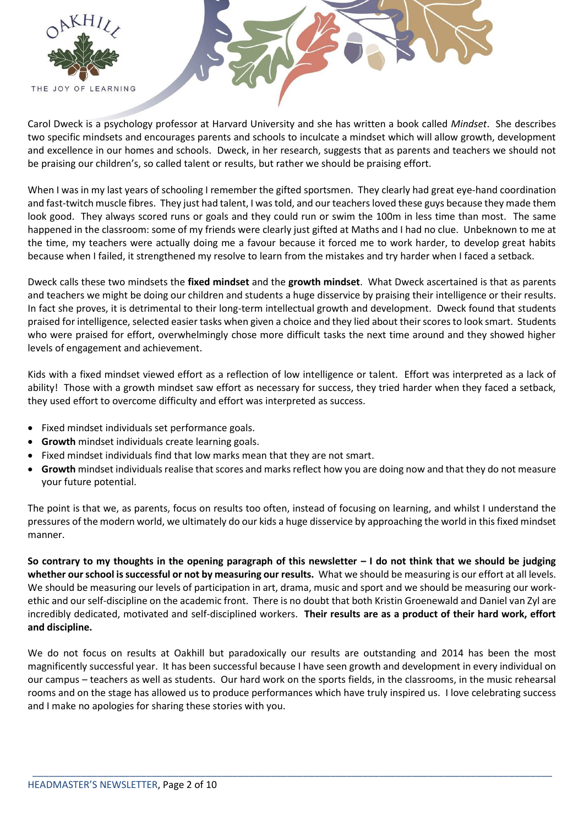

Carol Dweck is a psychology professor at Harvard University and she has written a book called *Mindset*. She describes two specific mindsets and encourages parents and schools to inculcate a mindset which will allow growth, development and excellence in our homes and schools. Dweck, in her research, suggests that as parents and teachers we should not be praising our children's, so called talent or results, but rather we should be praising effort.

When I was in my last years of schooling I remember the gifted sportsmen. They clearly had great eye-hand coordination and fast-twitch muscle fibres. They just had talent, I was told, and our teachers loved these guys because they made them look good. They always scored runs or goals and they could run or swim the 100m in less time than most. The same happened in the classroom: some of my friends were clearly just gifted at Maths and I had no clue. Unbeknown to me at the time, my teachers were actually doing me a favour because it forced me to work harder, to develop great habits because when I failed, it strengthened my resolve to learn from the mistakes and try harder when I faced a setback.

Dweck calls these two mindsets the **fixed mindset** and the **growth mindset**. What Dweck ascertained is that as parents and teachers we might be doing our children and students a huge disservice by praising their intelligence or their results. In fact she proves, it is detrimental to their long-term intellectual growth and development. Dweck found that students praised for intelligence, selected easier tasks when given a choice and they lied about their scores to look smart. Students who were praised for effort, overwhelmingly chose more difficult tasks the next time around and they showed higher levels of engagement and achievement.

Kids with a fixed mindset viewed effort as a reflection of low intelligence or talent. Effort was interpreted as a lack of ability! Those with a growth mindset saw effort as necessary for success, they tried harder when they faced a setback, they used effort to overcome difficulty and effort was interpreted as success.

- Fixed mindset individuals set performance goals.
- **Growth** mindset individuals create learning goals.
- Fixed mindset individuals find that low marks mean that they are not smart.
- **Growth** mindset individuals realise that scores and marks reflect how you are doing now and that they do not measure your future potential.

The point is that we, as parents, focus on results too often, instead of focusing on learning, and whilst I understand the pressures of the modern world, we ultimately do our kids a huge disservice by approaching the world in this fixed mindset manner.

**So contrary to my thoughts in the opening paragraph of this newsletter – I do not think that we should be judging whether our school is successful or not by measuring our results.** What we should be measuring is our effort at all levels. We should be measuring our levels of participation in art, drama, music and sport and we should be measuring our workethic and our self-discipline on the academic front. There is no doubt that both Kristin Groenewald and Daniel van Zyl are incredibly dedicated, motivated and self-disciplined workers. **Their results are as a product of their hard work, effort and discipline.**

We do not focus on results at Oakhill but paradoxically our results are outstanding and 2014 has been the most magnificently successful year. It has been successful because I have seen growth and development in every individual on our campus – teachers as well as students. Our hard work on the sports fields, in the classrooms, in the music rehearsal rooms and on the stage has allowed us to produce performances which have truly inspired us. I love celebrating success and I make no apologies for sharing these stories with you.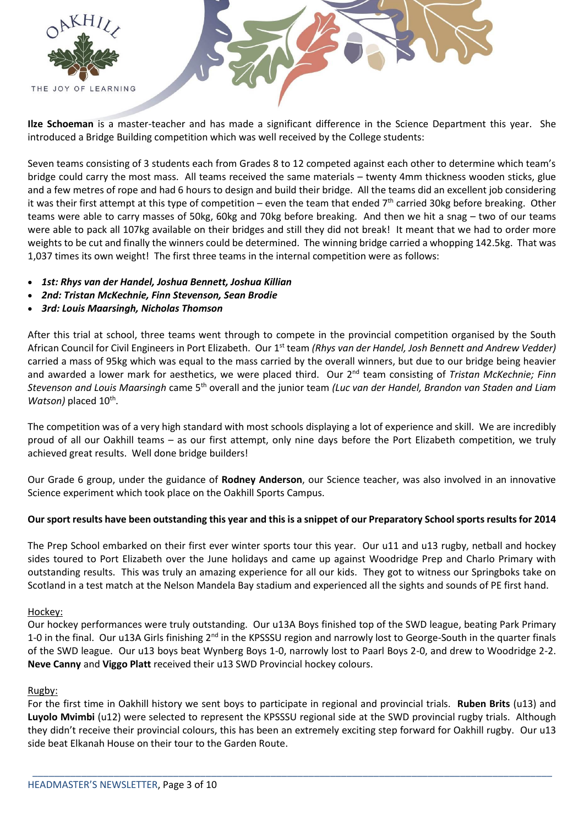

**Ilze Schoeman** is a master-teacher and has made a significant difference in the Science Department this year. She introduced a Bridge Building competition which was well received by the College students:

Seven teams consisting of 3 students each from Grades 8 to 12 competed against each other to determine which team's bridge could carry the most mass. All teams received the same materials – twenty 4mm thickness wooden sticks, glue and a few metres of rope and had 6 hours to design and build their bridge. All the teams did an excellent job considering it was their first attempt at this type of competition – even the team that ended  $7<sup>th</sup>$  carried 30kg before breaking. Other teams were able to carry masses of 50kg, 60kg and 70kg before breaking. And then we hit a snag – two of our teams were able to pack all 107kg available on their bridges and still they did not break! It meant that we had to order more weights to be cut and finally the winners could be determined. The winning bridge carried a whopping 142.5kg. That was 1,037 times its own weight! The first three teams in the internal competition were as follows:

- *1st: Rhys van der Handel, Joshua Bennett, Joshua Killian*
- *2nd: Tristan McKechnie, Finn Stevenson, Sean Brodie*
- *3rd: Louis Maarsingh, Nicholas Thomson*

After this trial at school, three teams went through to compete in the provincial competition organised by the South African Council for Civil Engineers in Port Elizabeth. Our 1<sup>st</sup> team *(Rhys van der Handel, Josh Bennett and Andrew Vedder)* carried a mass of 95kg which was equal to the mass carried by the overall winners, but due to our bridge being heavier and awarded a lower mark for aesthetics, we were placed third. Our 2<sup>nd</sup> team consisting of *Tristan McKechnie; Finn Stevenson and Louis Maarsingh* came 5th overall and the junior team *(Luc van der Handel, Brandon van Staden and Liam*  Watson) placed 10<sup>th</sup>.

The competition was of a very high standard with most schools displaying a lot of experience and skill. We are incredibly proud of all our Oakhill teams – as our first attempt, only nine days before the Port Elizabeth competition, we truly achieved great results. Well done bridge builders!

Our Grade 6 group, under the guidance of **Rodney Anderson**, our Science teacher, was also involved in an innovative Science experiment which took place on the Oakhill Sports Campus.

#### **Our sport results have been outstanding this year and this is a snippet of our Preparatory School sports results for 2014**

The Prep School embarked on their first ever winter sports tour this year. Our u11 and u13 rugby, netball and hockey sides toured to Port Elizabeth over the June holidays and came up against Woodridge Prep and Charlo Primary with outstanding results. This was truly an amazing experience for all our kids. They got to witness our Springboks take on Scotland in a test match at the Nelson Mandela Bay stadium and experienced all the sights and sounds of PE first hand.

#### Hockey:

Our hockey performances were truly outstanding. Our u13A Boys finished top of the SWD league, beating Park Primary 1-0 in the final. Our u13A Girls finishing 2<sup>nd</sup> in the KPSSSU region and narrowly lost to George-South in the quarter finals of the SWD league. Our u13 boys beat Wynberg Boys 1-0, narrowly lost to Paarl Boys 2-0, and drew to Woodridge 2-2. **Neve Canny** and **Viggo Platt** received their u13 SWD Provincial hockey colours.

#### Rugby:

For the first time in Oakhill history we sent boys to participate in regional and provincial trials. **Ruben Brits** (u13) and **Luyolo Mvimbi** (u12) were selected to represent the KPSSSU regional side at the SWD provincial rugby trials. Although they didn't receive their provincial colours, this has been an extremely exciting step forward for Oakhill rugby. Our u13 side beat Elkanah House on their tour to the Garden Route.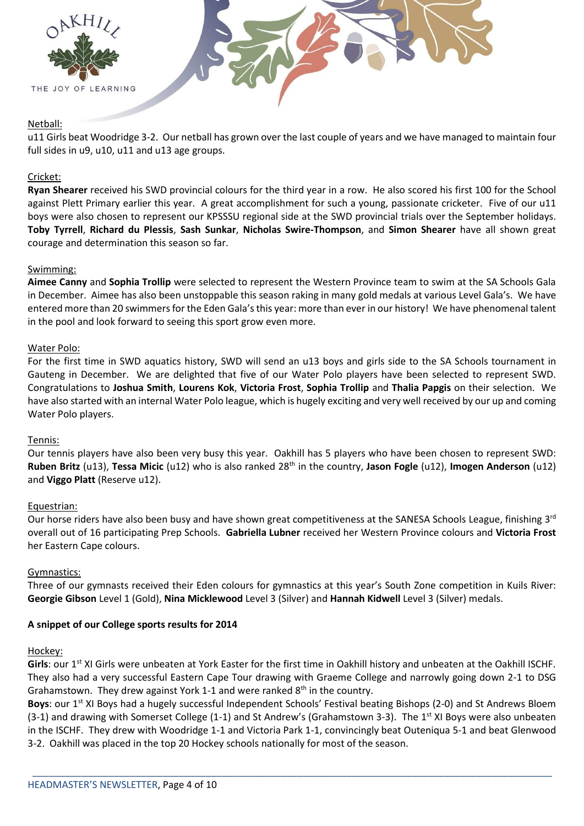



# Netball:

u11 Girls beat Woodridge 3-2. Our netball has grown over the last couple of years and we have managed to maintain four full sides in u9, u10, u11 and u13 age groups.

## Cricket:

**Ryan Shearer** received his SWD provincial colours for the third year in a row. He also scored his first 100 for the School against Plett Primary earlier this year. A great accomplishment for such a young, passionate cricketer. Five of our u11 boys were also chosen to represent our KPSSSU regional side at the SWD provincial trials over the September holidays. **Toby Tyrrell**, **Richard du Plessis**, **Sash Sunkar**, **Nicholas Swire-Thompson**, and **Simon Shearer** have all shown great courage and determination this season so far.

## Swimming:

**Aimee Canny** and **Sophia Trollip** were selected to represent the Western Province team to swim at the SA Schools Gala in December. Aimee has also been unstoppable this season raking in many gold medals at various Level Gala's. We have entered more than 20 swimmers for the Eden Gala's this year: more than ever in our history! We have phenomenal talent in the pool and look forward to seeing this sport grow even more.

#### Water Polo:

For the first time in SWD aquatics history, SWD will send an u13 boys and girls side to the SA Schools tournament in Gauteng in December. We are delighted that five of our Water Polo players have been selected to represent SWD. Congratulations to **Joshua Smith**, **Lourens Kok**, **Victoria Frost**, **Sophia Trollip** and **Thalia Papgis** on their selection. We have also started with an internal Water Polo league, which is hugely exciting and very well received by our up and coming Water Polo players.

#### Tennis:

Our tennis players have also been very busy this year. Oakhill has 5 players who have been chosen to represent SWD: **Ruben Britz** (u13), **Tessa Micic** (u12) who is also ranked 28<sup>th</sup> in the country, Jason Fogle (u12), Imogen Anderson (u12) and **Viggo Platt** (Reserve u12).

#### Equestrian:

Our horse riders have also been busy and have shown great competitiveness at the SANESA Schools League, finishing 3<sup>rd</sup> overall out of 16 participating Prep Schools. **Gabriella Lubner** received her Western Province colours and **Victoria Frost** her Eastern Cape colours.

#### Gymnastics:

Three of our gymnasts received their Eden colours for gymnastics at this year's South Zone competition in Kuils River: **Georgie Gibson** Level 1 (Gold), **Nina Micklewood** Level 3 (Silver) and **Hannah Kidwell** Level 3 (Silver) medals.

#### **A snippet of our College sports results for 2014**

#### Hockey:

Girls: our 1<sup>st</sup> XI Girls were unbeaten at York Easter for the first time in Oakhill history and unbeaten at the Oakhill ISCHF. They also had a very successful Eastern Cape Tour drawing with Graeme College and narrowly going down 2-1 to DSG Grahamstown. They drew against York 1-1 and were ranked  $8<sup>th</sup>$  in the country.

**Boys**: our 1<sup>st</sup> XI Boys had a hugely successful Independent Schools' Festival beating Bishops (2-0) and St Andrews Bloem (3-1) and drawing with Somerset College (1-1) and St Andrew's (Grahamstown 3-3). The 1<sup>st</sup> XI Boys were also unbeaten in the ISCHF. They drew with Woodridge 1-1 and Victoria Park 1-1, convincingly beat Outeniqua 5-1 and beat Glenwood 3-2. Oakhill was placed in the top 20 Hockey schools nationally for most of the season.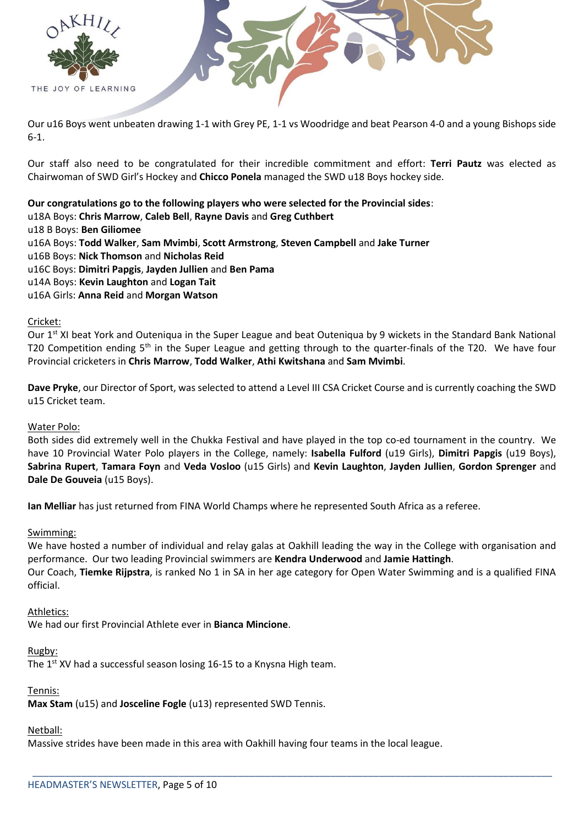



Our u16 Boys went unbeaten drawing 1-1 with Grey PE, 1-1 vs Woodridge and beat Pearson 4-0 and a young Bishops side 6-1.

Our staff also need to be congratulated for their incredible commitment and effort: **Terri Pautz** was elected as Chairwoman of SWD Girl's Hockey and **Chicco Ponela** managed the SWD u18 Boys hockey side.

**Our congratulations go to the following players who were selected for the Provincial sides**:

- u18A Boys: **Chris Marrow**, **Caleb Bell**, **Rayne Davis** and **Greg Cuthbert**
- u18 B Boys: **Ben Giliomee**
- u16A Boys: **Todd Walker**, **Sam Mvimbi**, **Scott Armstrong**, **Steven Campbell** and **Jake Turner**
- u16B Boys: **Nick Thomson** and **Nicholas Reid**
- u16C Boys: **Dimitri Papgis**, **Jayden Jullien** and **Ben Pama**
- u14A Boys: **Kevin Laughton** and **Logan Tait**
- u16A Girls: **Anna Reid** and **Morgan Watson**

#### Cricket:

Our 1<sup>st</sup> XI beat York and Outeniqua in the Super League and beat Outeniqua by 9 wickets in the Standard Bank National T20 Competition ending 5<sup>th</sup> in the Super League and getting through to the quarter-finals of the T20. We have four Provincial cricketers in **Chris Marrow**, **Todd Walker**, **Athi Kwitshana** and **Sam Mvimbi**.

**Dave Pryke**, our Director of Sport, was selected to attend a Level III CSA Cricket Course and is currently coaching the SWD u15 Cricket team.

#### Water Polo:

Both sides did extremely well in the Chukka Festival and have played in the top co-ed tournament in the country. We have 10 Provincial Water Polo players in the College, namely: **Isabella Fulford** (u19 Girls), **Dimitri Papgis** (u19 Boys), **Sabrina Rupert**, **Tamara Foyn** and **Veda Vosloo** (u15 Girls) and **Kevin Laughton**, **Jayden Jullien**, **Gordon Sprenger** and **Dale De Gouveia** (u15 Boys).

**Ian Melliar** has just returned from FINA World Champs where he represented South Africa as a referee.

#### Swimming:

We have hosted a number of individual and relay galas at Oakhill leading the way in the College with organisation and performance. Our two leading Provincial swimmers are **Kendra Underwood** and **Jamie Hattingh**. Our Coach, **Tiemke Rijpstra**, is ranked No 1 in SA in her age category for Open Water Swimming and is a qualified FINA

official.

\_\_\_\_\_\_\_\_\_\_\_\_\_\_\_\_\_\_\_\_\_\_\_\_\_\_\_\_\_\_\_\_\_\_\_\_\_\_\_\_\_\_\_\_\_\_\_\_\_\_\_\_\_\_\_\_\_\_\_\_\_\_\_\_\_\_\_\_\_\_\_\_\_\_\_\_\_\_\_\_\_\_\_\_\_\_\_\_\_\_\_\_\_\_\_\_

#### Athletics:

We had our first Provincial Athlete ever in **Bianca Mincione**.

#### Rugby:

The 1<sup>st</sup> XV had a successful season losing 16-15 to a Knysna High team.

#### Tennis:

**Max Stam** (u15) and **Josceline Fogle** (u13) represented SWD Tennis.

#### Netball:

Massive strides have been made in this area with Oakhill having four teams in the local league.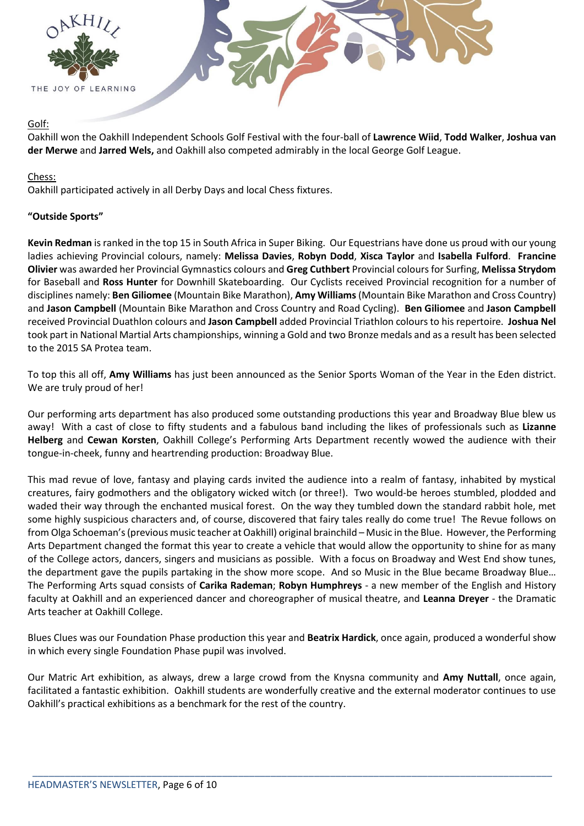

#### Golf:

Oakhill won the Oakhill Independent Schools Golf Festival with the four-ball of **Lawrence Wiid**, **Todd Walker**, **Joshua van der Merwe** and **Jarred Wels,** and Oakhill also competed admirably in the local George Golf League.

# Chess:

Oakhill participated actively in all Derby Days and local Chess fixtures.

# **"Outside Sports"**

**Kevin Redman** is ranked in the top 15 in South Africa in Super Biking. Our Equestrians have done us proud with our young ladies achieving Provincial colours, namely: **Melissa Davies**, **Robyn Dodd**, **Xisca Taylor** and **Isabella Fulford**. **Francine Olivier** was awarded her Provincial Gymnastics colours and **Greg Cuthbert** Provincial colours for Surfing, **Melissa Strydom** for Baseball and **Ross Hunter** for Downhill Skateboarding. Our Cyclists received Provincial recognition for a number of disciplines namely: **Ben Giliomee** (Mountain Bike Marathon), **Amy Williams**(Mountain Bike Marathon and Cross Country) and **Jason Campbell** (Mountain Bike Marathon and Cross Country and Road Cycling). **Ben Giliomee** and **Jason Campbell** received Provincial Duathlon colours and **Jason Campbell** added Provincial Triathlon colours to his repertoire. **Joshua Nel** took part in National Martial Arts championships, winning a Gold and two Bronze medals and as a result has been selected to the 2015 SA Protea team.

To top this all off, **Amy Williams** has just been announced as the Senior Sports Woman of the Year in the Eden district. We are truly proud of her!

Our performing arts department has also produced some outstanding productions this year and Broadway Blue blew us away! With a cast of close to fifty students and a fabulous band including the likes of professionals such as **Lizanne Helberg** and **Cewan Korsten**, Oakhill College's Performing Arts Department recently wowed the audience with their tongue-in-cheek, funny and heartrending production: Broadway Blue.

This mad revue of love, fantasy and playing cards invited the audience into a realm of fantasy, inhabited by mystical creatures, fairy godmothers and the obligatory wicked witch (or three!). Two would-be heroes stumbled, plodded and waded their way through the enchanted musical forest. On the way they tumbled down the standard rabbit hole, met some highly suspicious characters and, of course, discovered that fairy tales really do come true! The Revue follows on from Olga Schoeman's (previous music teacher at Oakhill) original brainchild – Music in the Blue. However, the Performing Arts Department changed the format this year to create a vehicle that would allow the opportunity to shine for as many of the College actors, dancers, singers and musicians as possible. With a focus on Broadway and West End show tunes, the department gave the pupils partaking in the show more scope. And so Music in the Blue became Broadway Blue… The Performing Arts squad consists of **Carika Rademan**; **Robyn Humphreys** - a new member of the English and History faculty at Oakhill and an experienced dancer and choreographer of musical theatre, and **Leanna Dreyer** - the Dramatic Arts teacher at Oakhill College.

Blues Clues was our Foundation Phase production this year and **Beatrix Hardick**, once again, produced a wonderful show in which every single Foundation Phase pupil was involved.

Our Matric Art exhibition, as always, drew a large crowd from the Knysna community and **Amy Nuttall**, once again, facilitated a fantastic exhibition. Oakhill students are wonderfully creative and the external moderator continues to use Oakhill's practical exhibitions as a benchmark for the rest of the country.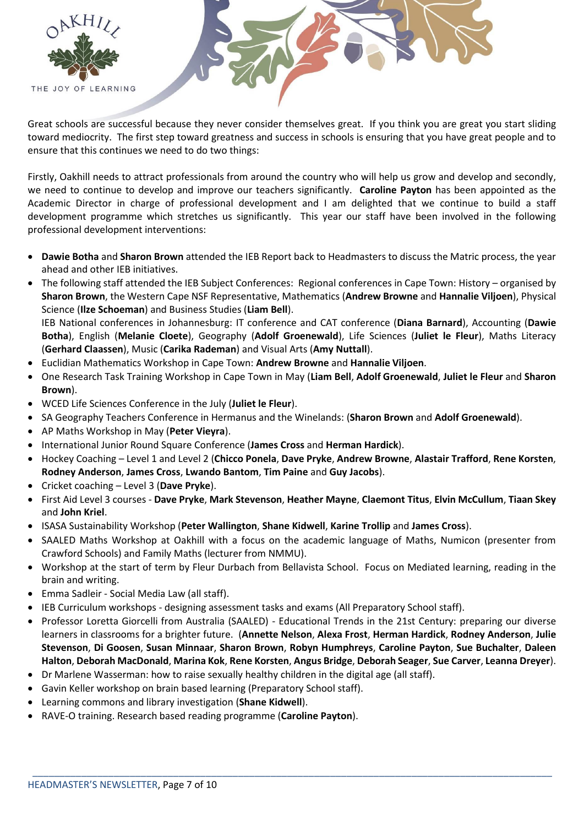

Great schools are successful because they never consider themselves great. If you think you are great you start sliding toward mediocrity. The first step toward greatness and success in schools is ensuring that you have great people and to ensure that this continues we need to do two things:

Firstly, Oakhill needs to attract professionals from around the country who will help us grow and develop and secondly, we need to continue to develop and improve our teachers significantly. **Caroline Payton** has been appointed as the Academic Director in charge of professional development and I am delighted that we continue to build a staff development programme which stretches us significantly. This year our staff have been involved in the following professional development interventions:

- **Dawie Botha** and **Sharon Brown** attended the IEB Report back to Headmasters to discuss the Matric process, the year ahead and other IEB initiatives.
- The following staff attended the IEB Subject Conferences: Regional conferences in Cape Town: History organised by **Sharon Brown**, the Western Cape NSF Representative, Mathematics (**Andrew Browne** and **Hannalie Viljoen**), Physical Science (**Ilze Schoeman**) and Business Studies (**Liam Bell**).

IEB National conferences in Johannesburg: IT conference and CAT conference (**Diana Barnard**), Accounting (**Dawie Botha**), English (**Melanie Cloete**), Geography (**Adolf Groenewald**), Life Sciences (**Juliet le Fleur**), Maths Literacy (**Gerhard Claassen**), Music (**Carika Rademan**) and Visual Arts (**Amy Nuttall**).

- Euclidian Mathematics Workshop in Cape Town: **Andrew Browne** and **Hannalie Viljoen**.
- One Research Task Training Workshop in Cape Town in May (**Liam Bell**, **Adolf Groenewald**, **Juliet le Fleur** and **Sharon Brown**).
- WCED Life Sciences Conference in the July (**Juliet le Fleur**).
- SA Geography Teachers Conference in Hermanus and the Winelands: (**Sharon Brown** and **Adolf Groenewald**).
- AP Maths Workshop in May (**Peter Vieyra**).
- International Junior Round Square Conference (**James Cross** and **Herman Hardick**).
- Hockey Coaching Level 1 and Level 2 (**Chicco Ponela**, **Dave Pryke**, **Andrew Browne**, **Alastair Trafford**, **Rene Korsten**, **Rodney Anderson**, **James Cross**, **Lwando Bantom**, **Tim Paine** and **Guy Jacobs**).
- Cricket coaching Level 3 (**Dave Pryke**).
- First Aid Level 3 courses **Dave Pryke**, **Mark Stevenson**, **Heather Mayne**, **Claemont Titus**, **Elvin McCullum**, **Tiaan Skey** and **John Kriel**.
- ISASA Sustainability Workshop (**Peter Wallington**, **Shane Kidwell**, **Karine Trollip** and **James Cross**).
- SAALED Maths Workshop at Oakhill with a focus on the academic language of Maths, Numicon (presenter from Crawford Schools) and Family Maths (lecturer from NMMU).
- Workshop at the start of term by Fleur Durbach from Bellavista School. Focus on Mediated learning, reading in the brain and writing.
- Emma Sadleir Social Media Law (all staff).
- IEB Curriculum workshops designing assessment tasks and exams (All Preparatory School staff).
- Professor Loretta Giorcelli from Australia (SAALED) Educational Trends in the 21st Century: preparing our diverse learners in classrooms for a brighter future. (**Annette Nelson**, **Alexa Frost**, **Herman Hardick**, **Rodney Anderson**, **Julie Stevenson**, **Di Goosen**, **Susan Minnaar**, **Sharon Brown**, **Robyn Humphreys**, **Caroline Payton**, **Sue Buchalter**, **Daleen Halton**, **Deborah MacDonald**, **Marina Kok**, **Rene Korsten**, **Angus Bridge**, **Deborah Seager**, **Sue Carver**, **Leanna Dreyer**).

- Dr Marlene Wasserman: how to raise sexually healthy children in the digital age (all staff).
- Gavin Keller workshop on brain based learning (Preparatory School staff).
- Learning commons and library investigation (**Shane Kidwell**).
- RAVE-O training. Research based reading programme (**Caroline Payton**).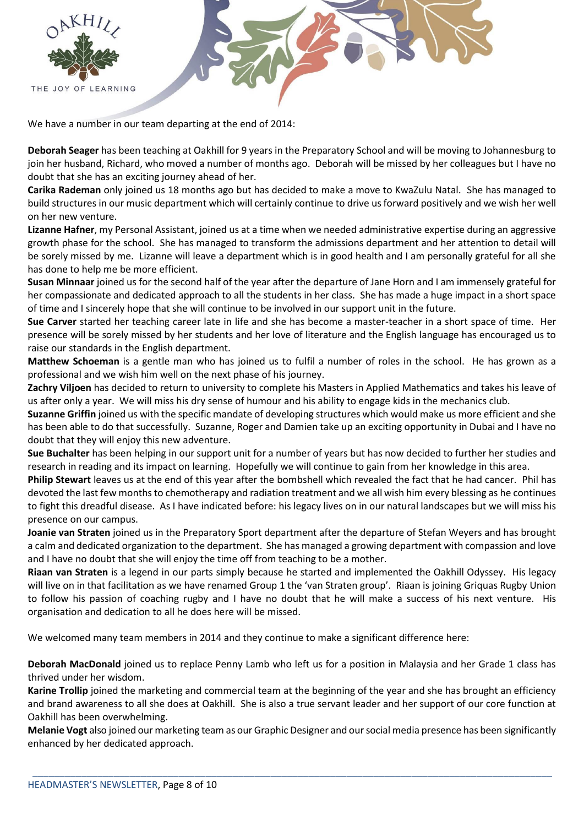

We have a number in our team departing at the end of 2014:

**Deborah Seager** has been teaching at Oakhill for 9 years in the Preparatory School and will be moving to Johannesburg to join her husband, Richard, who moved a number of months ago. Deborah will be missed by her colleagues but I have no doubt that she has an exciting journey ahead of her.

**Carika Rademan** only joined us 18 months ago but has decided to make a move to KwaZulu Natal. She has managed to build structures in our music department which will certainly continue to drive us forward positively and we wish her well on her new venture.

**Lizanne Hafner**, my Personal Assistant, joined us at a time when we needed administrative expertise during an aggressive growth phase for the school. She has managed to transform the admissions department and her attention to detail will be sorely missed by me. Lizanne will leave a department which is in good health and I am personally grateful for all she has done to help me be more efficient.

**Susan Minnaar** joined us for the second half of the year after the departure of Jane Horn and I am immensely grateful for her compassionate and dedicated approach to all the students in her class. She has made a huge impact in a short space of time and I sincerely hope that she will continue to be involved in our support unit in the future.

**Sue Carver** started her teaching career late in life and she has become a master-teacher in a short space of time. Her presence will be sorely missed by her students and her love of literature and the English language has encouraged us to raise our standards in the English department.

**Matthew Schoeman** is a gentle man who has joined us to fulfil a number of roles in the school. He has grown as a professional and we wish him well on the next phase of his journey.

**Zachry Viljoen** has decided to return to university to complete his Masters in Applied Mathematics and takes his leave of us after only a year. We will miss his dry sense of humour and his ability to engage kids in the mechanics club.

**Suzanne Griffin** joined us with the specific mandate of developing structures which would make us more efficient and she has been able to do that successfully. Suzanne, Roger and Damien take up an exciting opportunity in Dubai and I have no doubt that they will enjoy this new adventure.

**Sue Buchalter** has been helping in our support unit for a number of years but has now decided to further her studies and research in reading and its impact on learning. Hopefully we will continue to gain from her knowledge in this area.

**Philip Stewart** leaves us at the end of this year after the bombshell which revealed the fact that he had cancer. Phil has devoted the last few months to chemotherapy and radiation treatment and we all wish him every blessing as he continues to fight this dreadful disease. As I have indicated before: his legacy lives on in our natural landscapes but we will miss his presence on our campus.

**Joanie van Straten** joined us in the Preparatory Sport department after the departure of Stefan Weyers and has brought a calm and dedicated organization to the department. She has managed a growing department with compassion and love and I have no doubt that she will enjoy the time off from teaching to be a mother.

**Riaan van Straten** is a legend in our parts simply because he started and implemented the Oakhill Odyssey. His legacy will live on in that facilitation as we have renamed Group 1 the 'van Straten group'. Riaan is joining Griquas Rugby Union to follow his passion of coaching rugby and I have no doubt that he will make a success of his next venture. His organisation and dedication to all he does here will be missed.

We welcomed many team members in 2014 and they continue to make a significant difference here:

**Deborah MacDonald** joined us to replace Penny Lamb who left us for a position in Malaysia and her Grade 1 class has thrived under her wisdom.

**Karine Trollip** joined the marketing and commercial team at the beginning of the year and she has brought an efficiency and brand awareness to all she does at Oakhill. She is also a true servant leader and her support of our core function at Oakhill has been overwhelming.

**Melanie Vogt** also joined our marketing team as our Graphic Designer and our social media presence has been significantly enhanced by her dedicated approach.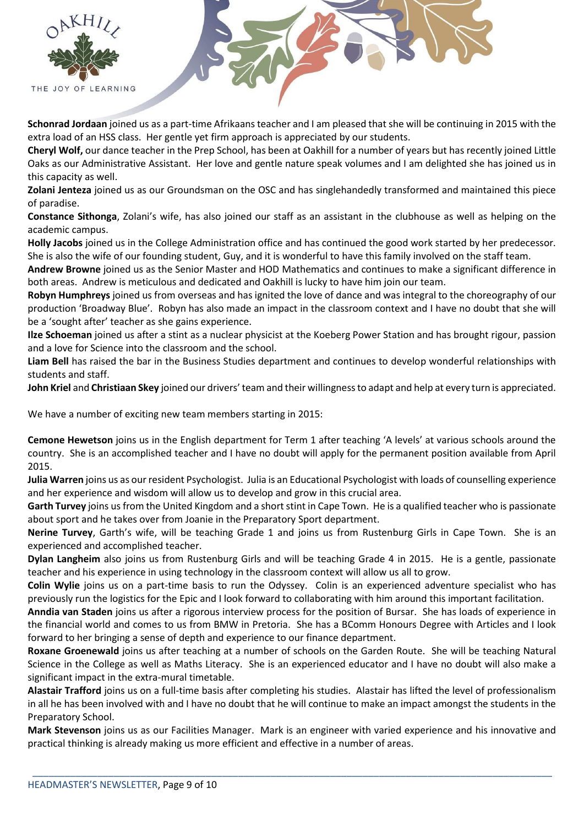



**Schonrad Jordaan** joined us as a part-time Afrikaans teacher and I am pleased that she will be continuing in 2015 with the extra load of an HSS class. Her gentle yet firm approach is appreciated by our students.

**Cheryl Wolf,** our dance teacher in the Prep School, has been at Oakhill for a number of years but has recently joined Little Oaks as our Administrative Assistant. Her love and gentle nature speak volumes and I am delighted she has joined us in this capacity as well.

**Zolani Jenteza** joined us as our Groundsman on the OSC and has singlehandedly transformed and maintained this piece of paradise.

**Constance Sithonga**, Zolani's wife, has also joined our staff as an assistant in the clubhouse as well as helping on the academic campus.

**Holly Jacobs** joined us in the College Administration office and has continued the good work started by her predecessor. She is also the wife of our founding student, Guy, and it is wonderful to have this family involved on the staff team.

**Andrew Browne** joined us as the Senior Master and HOD Mathematics and continues to make a significant difference in both areas. Andrew is meticulous and dedicated and Oakhill is lucky to have him join our team.

**Robyn Humphreys** joined us from overseas and has ignited the love of dance and was integral to the choreography of our production 'Broadway Blue'. Robyn has also made an impact in the classroom context and I have no doubt that she will be a 'sought after' teacher as she gains experience.

**Ilze Schoeman** joined us after a stint as a nuclear physicist at the Koeberg Power Station and has brought rigour, passion and a love for Science into the classroom and the school.

**Liam Bell** has raised the bar in the Business Studies department and continues to develop wonderful relationships with students and staff.

**John Kriel** and **Christiaan Skey** joined our drivers' team and their willingness to adapt and help at every turn is appreciated.

We have a number of exciting new team members starting in 2015:

**Cemone Hewetson** joins us in the English department for Term 1 after teaching 'A levels' at various schools around the country. She is an accomplished teacher and I have no doubt will apply for the permanent position available from April 2015.

**Julia Warren** joins us as our resident Psychologist. Julia is an Educational Psychologist with loads of counselling experience and her experience and wisdom will allow us to develop and grow in this crucial area.

**Garth Turvey** joins us from the United Kingdom and a short stint in Cape Town. He is a qualified teacher who is passionate about sport and he takes over from Joanie in the Preparatory Sport department.

**Nerine Turvey**, Garth's wife, will be teaching Grade 1 and joins us from Rustenburg Girls in Cape Town. She is an experienced and accomplished teacher.

**Dylan Langheim** also joins us from Rustenburg Girls and will be teaching Grade 4 in 2015. He is a gentle, passionate teacher and his experience in using technology in the classroom context will allow us all to grow.

**Colin Wylie** joins us on a part-time basis to run the Odyssey. Colin is an experienced adventure specialist who has previously run the logistics for the Epic and I look forward to collaborating with him around this important facilitation.

**Anndia van Staden** joins us after a rigorous interview process for the position of Bursar. She has loads of experience in the financial world and comes to us from BMW in Pretoria. She has a BComm Honours Degree with Articles and I look forward to her bringing a sense of depth and experience to our finance department.

**Roxane Groenewald** joins us after teaching at a number of schools on the Garden Route. She will be teaching Natural Science in the College as well as Maths Literacy. She is an experienced educator and I have no doubt will also make a significant impact in the extra-mural timetable.

**Alastair Trafford** joins us on a full-time basis after completing his studies. Alastair has lifted the level of professionalism in all he has been involved with and I have no doubt that he will continue to make an impact amongst the students in the Preparatory School.

**Mark Stevenson** joins us as our Facilities Manager. Mark is an engineer with varied experience and his innovative and practical thinking is already making us more efficient and effective in a number of areas.